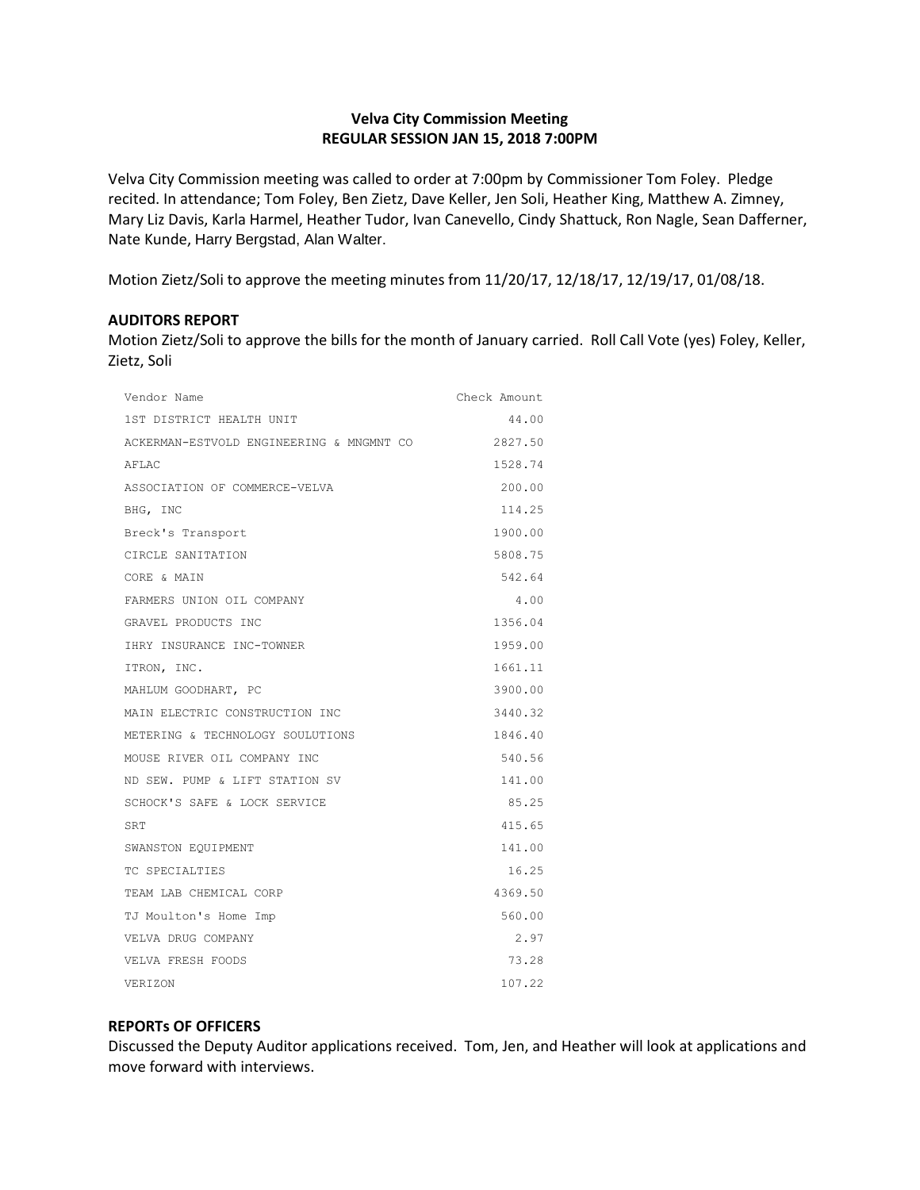# **Velva City Commission Meeting REGULAR SESSION JAN 15, 2018 7:00PM**

Velva City Commission meeting was called to order at 7:00pm by Commissioner Tom Foley. Pledge recited. In attendance; Tom Foley, Ben Zietz, Dave Keller, Jen Soli, Heather King, Matthew A. Zimney, Mary Liz Davis, Karla Harmel, Heather Tudor, Ivan Canevello, Cindy Shattuck, Ron Nagle, Sean Dafferner, Nate Kunde, Harry Bergstad, Alan Walter.

Motion Zietz/Soli to approve the meeting minutes from 11/20/17, 12/18/17, 12/19/17, 01/08/18.

## **AUDITORS REPORT**

Motion Zietz/Soli to approve the bills for the month of January carried. Roll Call Vote (yes) Foley, Keller, Zietz, Soli

| Vendor Name                              | Check Amount |
|------------------------------------------|--------------|
| 1ST DISTRICT HEALTH UNIT                 | 44.00        |
| ACKERMAN-ESTVOLD ENGINEERING & MNGMNT CO | 2827.50      |
| AFLAC                                    | 1528.74      |
| ASSOCIATION OF COMMERCE-VELVA            | 200.00       |
| BHG, INC                                 | 114.25       |
| Breck's Transport                        | 1900.00      |
| CIRCLE SANITATION                        | 5808.75      |
| CORE & MAIN                              | 542.64       |
| FARMERS UNION OIL COMPANY                | 4.00         |
| GRAVEL PRODUCTS INC                      | 1356.04      |
| IHRY INSURANCE INC-TOWNER                | 1959.00      |
| ITRON, INC.                              | 1661.11      |
| MAHLUM GOODHART, PC                      | 3900.00      |
| MAIN ELECTRIC CONSTRUCTION INC           | 3440.32      |
| METERING & TECHNOLOGY SOULUTIONS         | 1846.40      |
| MOUSE RIVER OIL COMPANY INC              | 540.56       |
| ND SEW. PUMP & LIFT STATION SV           | 141.00       |
| SCHOCK'S SAFE & LOCK SERVICE             | 85.25        |
| SRT                                      | 415.65       |
| SWANSTON EQUIPMENT                       | 141.00       |
| TC SPECIALTIES                           | 16.25        |
| TEAM LAB CHEMICAL CORP                   | 4369.50      |
| TJ Moulton's Home Imp                    | 560.00       |
| VELVA DRUG COMPANY                       | 2.97         |
| VELVA FRESH FOODS                        | 73.28        |
| <b>VERIZON</b>                           | 107.22       |

## **REPORTs OF OFFICERS**

Discussed the Deputy Auditor applications received. Tom, Jen, and Heather will look at applications and move forward with interviews.